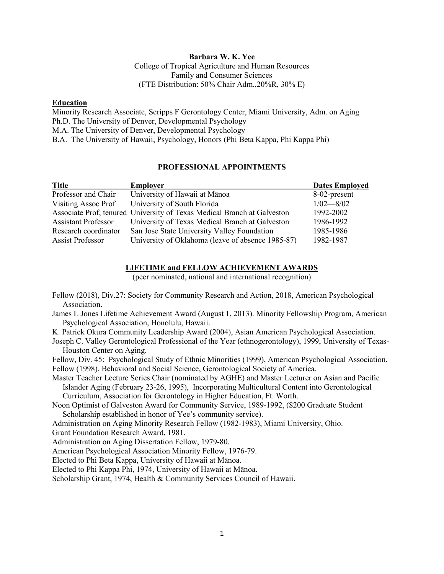#### **Barbara W. K. Yee**

College of Tropical Agriculture and Human Resources Family and Consumer Sciences (FTE Distribution: 50% Chair Adm.,20%R, 30% E)

#### **Education**

Minority Research Associate, Scripps F Gerontology Center, Miami University, Adm. on Aging Ph.D. The University of Denver, Developmental Psychology M.A. The University of Denver, Developmental Psychology B.A. The University of Hawaii, Psychology, Honors (Phi Beta Kappa, Phi Kappa Phi)

# **PROFESSIONAL APPOINTMENTS**

| <b>Title</b>               | <b>Employer</b>                                                         | <b>Dates Employed</b> |
|----------------------------|-------------------------------------------------------------------------|-----------------------|
| Professor and Chair        | University of Hawaii at Mānoa                                           | 8-02-present          |
| Visiting Assoc Prof        | University of South Florida                                             | $1/02 - 8/02$         |
|                            | Associate Prof, tenured University of Texas Medical Branch at Galveston | 1992-2002             |
| <b>Assistant Professor</b> | University of Texas Medical Branch at Galveston                         | 1986-1992             |
| Research coordinator       | San Jose State University Valley Foundation                             | 1985-1986             |
| Assist Professor           | University of Oklahoma (leave of absence 1985-87)                       | 1982-1987             |

#### **LIFETIME and FELLOW ACHIEVEMENT AWARDS**

(peer nominated, national and international recognition)

- Fellow (2018), Div.27: Society for Community Research and Action, 2018, American Psychological Association.
- James L Jones Lifetime Achievement Award (August 1, 2013). Minority Fellowship Program, American Psychological Association, Honolulu, Hawaii.
- K. Patrick Okura Community Leadership Award (2004), Asian American Psychological Association.
- Joseph C. Valley Gerontological Professional of the Year (ethnogerontology), 1999, University of Texas-Houston Center on Aging.
- Fellow, Div. 45: Psychological Study of Ethnic Minorities (1999), American Psychological Association.

Fellow (1998), Behavioral and Social Science, Gerontological Society of America.

Master Teacher Lecture Series Chair (nominated by AGHE) and Master Lecturer on Asian and Pacific Islander Aging (February 23-26, 1995), Incorporating Multicultural Content into Gerontological Curriculum, Association for Gerontology in Higher Education, Ft. Worth.

Noon Optimist of Galveston Award for Community Service, 1989-1992, (\$200 Graduate Student Scholarship established in honor of Yee's community service).

Administration on Aging Minority Research Fellow (1982-1983), Miami University, Ohio.

Grant Foundation Research Award, 1981.

Administration on Aging Dissertation Fellow, 1979-80.

American Psychological Association Minority Fellow, 1976-79.

Elected to Phi Beta Kappa, University of Hawaii at Mānoa.

Elected to Phi Kappa Phi, 1974, University of Hawaii at Mānoa.

Scholarship Grant, 1974, Health & Community Services Council of Hawaii.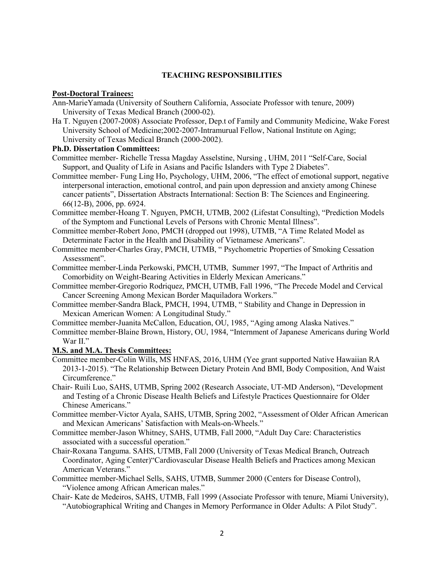#### **TEACHING RESPONSIBILITIES**

#### **Post-Doctoral Trainees:**

- Ann-MarieYamada (University of Southern California, Associate Professor with tenure, 2009) University of Texas Medical Branch (2000-02).
- Ha T. Nguyen (2007-2008) Associate Professor, Dep.t of Family and Community Medicine, Wake Forest University School of Medicine;2002-2007-Intramurual Fellow, National Institute on Aging; University of Texas Medical Branch (2000-2002).

#### **Ph.D. Dissertation Committees:**

- Committee member- Richelle Tressa Magday Asselstine, Nursing , UHM, 2011 "Self-Care, Social Support, and Quality of Life in Asians and Pacific Islanders with Type 2 Diabetes".
- Committee member- Fung Ling Ho, Psychology, UHM, 2006, "The effect of emotional support, negative interpersonal interaction, emotional control, and pain upon depression and anxiety among Chinese cancer patients", Dissertation Abstracts International: Section B: The Sciences and Engineering. 66(12-B), 2006, pp. 6924.
- Committee member-Hoang T. Nguyen, PMCH, UTMB, 2002 (Lifestat Consulting), "Prediction Models of the Symptom and Functional Levels of Persons with Chronic Mental Illness".
- Committee member-Robert Jono, PMCH (dropped out 1998), UTMB, "A Time Related Model as Determinate Factor in the Health and Disability of Vietnamese Americans".
- Committee member-Charles Gray, PMCH, UTMB, " Psychometric Properties of Smoking Cessation Assessment".
- Committee member-Linda Perkowski, PMCH, UTMB, Summer 1997, "The Impact of Arthritis and Comorbidity on Weight-Bearing Activities in Elderly Mexican Americans."
- Committee member-Gregorio Rodriquez, PMCH, UTMB, Fall 1996, "The Precede Model and Cervical Cancer Screening Among Mexican Border Maquiladora Workers."
- Committee member-Sandra Black, PMCH, 1994, UTMB, " Stability and Change in Depression in Mexican American Women: A Longitudinal Study."
- Committee member-Juanita McCallon, Education, OU, 1985, "Aging among Alaska Natives."
- Committee member-Blaine Brown, History, OU, 1984, "Internment of Japanese Americans during World War II."

## **M.S. and M.A. Thesis Committees:**

- Committee member-Colin Wills, MS HNFAS, 2016, UHM (Yee grant supported Native Hawaiian RA 2013-1-2015). "The Relationship Between Dietary Protein And BMI, Body Composition, And Waist Circumference."
- Chair- Ruili Luo, SAHS, UTMB, Spring 2002 (Research Associate, UT-MD Anderson), "Development and Testing of a Chronic Disease Health Beliefs and Lifestyle Practices Questionnaire for Older Chinese Americans."
- Committee member-Victor Ayala, SAHS, UTMB, Spring 2002, "Assessment of Older African American and Mexican Americans' Satisfaction with Meals-on-Wheels."
- Committee member-Jason Whitney, SAHS, UTMB, Fall 2000, "Adult Day Care: Characteristics associated with a successful operation."
- Chair-Roxana Tanguma. SAHS, UTMB, Fall 2000 (University of Texas Medical Branch, Outreach Coordinator, Aging Center)"Cardiovascular Disease Health Beliefs and Practices among Mexican American Veterans."
- Committee member-Michael Sells, SAHS, UTMB, Summer 2000 (Centers for Disease Control), "Violence among African American males."
- Chair- Kate de Medeiros, SAHS, UTMB, Fall 1999 (Associate Professor with tenure, Miami University), "Autobiographical Writing and Changes in Memory Performance in Older Adults: A Pilot Study".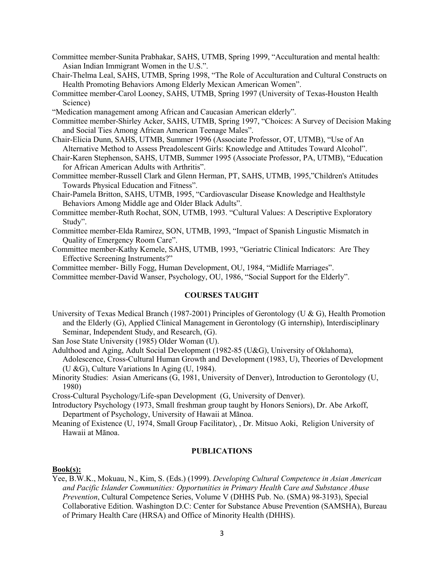Committee member-Sunita Prabhakar, SAHS, UTMB, Spring 1999, "Acculturation and mental health: Asian Indian Immigrant Women in the U.S.".

Chair-Thelma Leal, SAHS, UTMB, Spring 1998, "The Role of Acculturation and Cultural Constructs on Health Promoting Behaviors Among Elderly Mexican American Women".

Committee member-Carol Looney, SAHS, UTMB, Spring 1997 (University of Texas-Houston Health Science)

"Medication management among African and Caucasian American elderly".

Committee member-Shirley Acker, SAHS, UTMB, Spring 1997, "Choices: A Survey of Decision Making and Social Ties Among African American Teenage Males".

- Chair-Elicia Dunn, SAHS, UTMB, Summer 1996 (Associate Professor, OT, UTMB), "Use of An Alternative Method to Assess Preadolescent Girls: Knowledge and Attitudes Toward Alcohol".
- Chair-Karen Stephenson, SAHS, UTMB, Summer 1995 (Associate Professor, PA, UTMB), "Education for African American Adults with Arthritis".
- Committee member-Russell Clark and Glenn Herman, PT, SAHS, UTMB, 1995,"Children's Attitudes Towards Physical Education and Fitness".
- Chair-Pamela Britton, SAHS, UTMB, 1995, "Cardiovascular Disease Knowledge and Healthstyle Behaviors Among Middle age and Older Black Adults".

Committee member-Ruth Rochat, SON, UTMB, 1993. "Cultural Values: A Descriptive Exploratory Study".

- Committee member-Elda Ramirez, SON, UTMB, 1993, "Impact of Spanish Lingustic Mismatch in Quality of Emergency Room Care".
- Committee member-Kathy Kemele, SAHS, UTMB, 1993, "Geriatric Clinical Indicators: Are They Effective Screening Instruments?"

Committee member- Billy Fogg, Human Development, OU, 1984, "Midlife Marriages".

Committee member-David Wanser, Psychology, OU, 1986, "Social Support for the Elderly".

#### **COURSES TAUGHT**

University of Texas Medical Branch (1987-2001) Principles of Gerontology (U & G), Health Promotion and the Elderly (G), Applied Clinical Management in Gerontology (G internship), Interdisciplinary Seminar, Independent Study, and Research, (G).

San Jose State University (1985) Older Woman (U).

- Adulthood and Aging, Adult Social Development (1982-85 (U&G), University of Oklahoma), Adolescence, Cross-Cultural Human Growth and Development (1983, U), Theories of Development (U &G), Culture Variations In Aging (U, 1984).
- Minority Studies: Asian Americans (G, 1981, University of Denver), Introduction to Gerontology (U, 1980)

Cross-Cultural Psychology/Life-span Development (G, University of Denver).

- Introductory Psychology (1973, Small freshman group taught by Honors Seniors), Dr. Abe Arkoff, Department of Psychology, University of Hawaii at Mānoa.
- Meaning of Existence (U, 1974, Small Group Facilitator), , Dr. Mitsuo Aoki, Religion University of Hawaii at Mānoa.

#### **PUBLICATIONS**

#### **Book(s):**

Yee, B.W.K., Mokuau, N., Kim, S. (Eds.) (1999). *Developing Cultural Competence in Asian American and Pacific Islander Communities: Opportunities in Primary Health Care and Substance Abuse Prevention*, Cultural Competence Series, Volume V (DHHS Pub. No. (SMA) 98-3193), Special Collaborative Edition. Washington D.C: Center for Substance Abuse Prevention (SAMSHA), Bureau of Primary Health Care (HRSA) and Office of Minority Health (DHHS).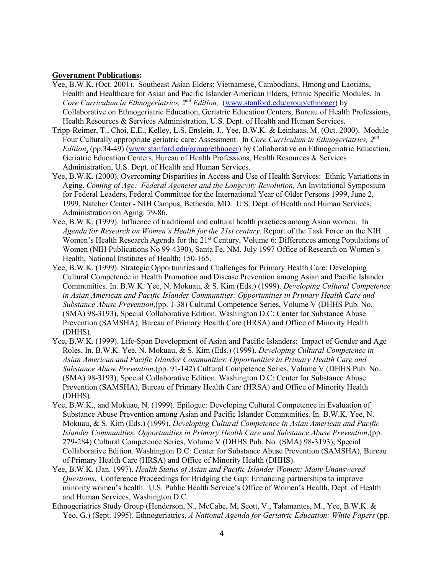#### **Government Publications:**

- Yee, B.W.K. (Oct. 2001). Southeast Asian Elders: Vietnamese, Cambodians, Hmong and Laotians, Health and Healthcare for Asian and Pacific Islander American Elders, Ethnic Specific Modules, In *Core Curriculum in Ethnogeriatrics, 2nd Edition,* [\(www.stanford.edu/group/ethnoger\)](http://www.stanford.edu/group/ethnoger) by Collaborative on Ethnogeriatric Education, Geriatric Education Centers, Bureau of Health Professions, Health Resources & Services Administration, U.S. Dept. of Health and Human Services.
- Tripp-Reimer, T., Choi, E.E., Kelley, L.S. Enslein, J., Yee, B.W.K. & Leinhaas, M. (Oct. 2000). Module Four Culturally appropriate geriatric care: Assessment. In *Core Currlculum in Ethnogeriatrics, 2nd Edition*, (pp.34-49) [\(www.stanford.edu/group/ethnoger\)](http://www.stanford.edu/group/ethnoger) by Collaborative on Ethnogeriatric Education, Geriatric Education Centers, Bureau of Health Professions, Health Resources & Services Administration, U.S. Dept. of Health and Human Services.
- Yee, B.W.K. (2000). Overcoming Disparities in Access and Use of Health Services: Ethnic Variations in Aging. *Coming of Age: Federal Agencies and the Longevity Revolution,* An Invitational Symposium for Federal Leaders, Federal Committee for the International Year of Older Persons 1999, June 2, 1999, Natcher Center - NIH Campus, Bethesda, MD. U.S. Dept. of Health and Human Services, Administration on Aging: 79-86.
- Yee, B.W.K. (1999). Influence of traditional and cultural health practices among Asian women. In *Agenda for Research on Women's Health for the 21st century*. Report of the Task Force on the NIH Women's Health Research Agenda for the 21<sup>st</sup> Century, Volume 6: Differences among Populations of Women (NIH Publications No 99-4390), Santa Fe, NM, July 1997 Office of Research on Women's Health, National Institutes of Health: 150-165.
- Yee, B.W.K. (1999). Strategic Opportunities and Challenges for Primary Health Care: Developing Cultural Competence in Health Promotion and Disease Prevention among Asian and Pacific Islander Communities. In. B.W.K. Yee, N. Mokuau, & S. Kim (Eds.) (1999). *Developing Cultural Competence in Asian American and Pacific Islander Communities: Opportunities in Primary Health Care and Substance Abuse Prevention*,(pp. 1-38) Cultural Competence Series, Volume V (DHHS Pub. No. (SMA) 98-3193), Special Collaborative Edition. Washington D.C: Center for Substance Abuse Prevention (SAMSHA), Bureau of Primary Health Care (HRSA) and Office of Minority Health (DHHS).
- Yee, B.W.K. (1999). Life-Span Development of Asian and Pacific Islanders: Impact of Gender and Age Roles, In. B.W.K. Yee, N. Mokuau, & S. Kim (Eds.) (1999). *Developing Cultural Competence in Asian American and Pacific Islander Communities: Opportunities in Primary Health Care and Substance Abuse Prevention*,(pp. 91-142) Cultural Competence Series, Volume V (DHHS Pub. No. (SMA) 98-3193), Special Collaborative Edition. Washington D.C: Center for Substance Abuse Prevention (SAMSHA), Bureau of Primary Health Care (HRSA) and Office of Minority Health (DHHS).
- Yee, B.W.K., and Mokuau, N. (1999). Epilogue: Developing Cultural Competence in Evaluation of Substance Abuse Prevention among Asian and Pacific Islander Communities. In. B.W.K. Yee, N. Mokuau, & S. Kim (Eds.) (1999). *Developing Cultural Competence in Asian American and Pacific Islander Communities: Opportunities in Primary Health Care and Substance Abuse Prevention*,(pp. 279-284) Cultural Competence Series, Volume V (DHHS Pub. No. (SMA) 98-3193), Special Collaborative Edition. Washington D.C: Center for Substance Abuse Prevention (SAMSHA), Bureau of Primary Health Care (HRSA) and Office of Minority Health (DHHS).
- Yee, B.W.K. (Jan. 1997). *Health Status of Asian and Pacific Islander Women: Many Unanswered Questions*. Conference Proceedings for Bridging the Gap: Enhancing partnerships to improve minority women's health. U.S. Public Health Service's Office of Women's Health, Dept. of Health and Human Services, Washington D.C.
- Ethnogeriatrics Study Group (Henderson, N., McCabe, M, Scott, V., Talamantes, M., Yee, B.W.K. & Yeo, G.) (Sept. 1995). Ethnogeriatrics, *A National Agenda for Geriatric Education: White Papers* (pp.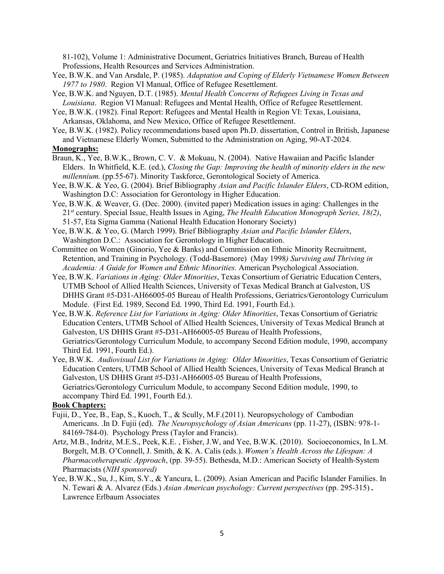81-102), Volume 1: Administrative Document, Geriatrics Initiatives Branch, Bureau of Health Professions, Health Resources and Services Administration.

- Yee, B.W.K. and Van Arsdale, P. (1985). *Adaptation and Coping of Elderly Vietnamese Women Between 1977 to 1980*. Region VI Manual, Office of Refugee Resettlement.
- Yee, B.W.K. and Nguyen, D.T. (1985). *Mental Health Concerns of Refugees Living in Texas and Louisiana*. Region VI Manual: Refugees and Mental Health, Office of Refugee Resettlement.
- Yee, B.W.K. (1982). Final Report: Refugees and Mental Health in Region VI: Texas, Louisiana, Arkansas, Oklahoma, and New Mexico, Office of Refugee Resettlement.
- Yee, B.W.K. (1982). Policy recommendations based upon Ph.D. dissertation, Control in British, Japanese and Vietnamese Elderly Women, Submitted to the Administration on Aging, 90-AT-2024.

# **Monographs:**

- Braun, K., Yee, B.W.K., Brown, C. V. & Mokuau, N. (2004). Native Hawaiian and Pacific Islander Elders. In Whitfield, K.E. (ed.), *Closing the Gap: Improving the health of minority elders in the new millennium.* (pp.55-67). Minority Taskforce, Gerontological Society of America.
- Yee, B.W.K. & Yeo, G. (2004). Brief Bibliography *Asian and Pacific Islander Elders*, CD-ROM edition, Washington D.C: Association for Gerontology in Higher Education.
- Yee, B.W.K. & Weaver, G. (Dec. 2000). (invited paper) Medication issues in aging: Challenges in the 21st century. Special Issue, Health Issues in Aging, *The Health Education Monograph Series, 18(2)*, 51-57, Eta Sigma Gamma (National Health Education Honorary Society)
- Yee, B.W.K. & Yeo, G. (March 1999). Brief Bibliography *Asian and Pacific Islander Elders*, Washington D.C.: Association for Gerontology in Higher Education.
- Committee on Women (Ginorio, Yee & Banks) and Commission on Ethnic Minority Recruitment, Retention, and Training in Psychology. (Todd-Basemore) (May 1998*) Surviving and Thriving in Academia: A Guide for Women and Ethnic Minorities.* American Psychological Association.
- Yee, B.W.K. *Variations in Aging: Older Minorities*, Texas Consortium of Geriatric Education Centers, UTMB School of Allied Health Sciences, University of Texas Medical Branch at Galveston, US DHHS Grant #5-D31-AH66005-05 Bureau of Health Professions, Geriatrics/Gerontology Curriculum Module. (First Ed. 1989, Second Ed. 1990, Third Ed. 1991, Fourth Ed.).
- Yee, B.W.K. *Reference List for Variations in Aging: Older Minorities*, Texas Consortium of Geriatric Education Centers, UTMB School of Allied Health Sciences, University of Texas Medical Branch at Galveston, US DHHS Grant #5-D31-AH66005-05 Bureau of Health Professions, Geriatrics/Gerontology Curriculum Module, to accompany Second Edition module, 1990, accompany Third Ed. 1991, Fourth Ed.).
- Yee, B.W.K. *Audiovisual List for Variations in Aging: Older Minorities*, Texas Consortium of Geriatric Education Centers, UTMB School of Allied Health Sciences, University of Texas Medical Branch at Galveston, US DHHS Grant #5-D31-AH66005-05 Bureau of Health Professions, Geriatrics/Gerontology Curriculum Module, to accompany Second Edition module, 1990, to accompany Third Ed. 1991, Fourth Ed.).

#### **Book Chapters:**

- Fujii, D., Yee, B., Eap, S., Kuoch, T., & Scully, M.F.(2011). Neuropsychology of Cambodian Americans. .In D. Fujii (ed). *The Neuropsychology of Asian Americans* (pp. 11-27), (ISBN: 978-1- 84169-784-0). Psychology Press (Taylor and Francis).
- Artz, M.B., Indritz, M.E.S., Peek, K.E. , Fisher, J.W, and Yee, B.W.K. (2010). Socioeconomics, In L.M. Borgelt, M.B. O'Connell, J. Smith, & K. A. Calis (eds.). *Women's Health Across the Lifespan: A Pharmacotherapeutic Approach*, (pp. 39-55). Bethesda, M.D.: American Society of Health-System Pharmacists (*NIH sponsored)*
- Yee, B.W.K., Su, J., Kim, S.Y., & Yancura, L. (2009). Asian American and Pacific Islander Families. In N. Tewari & A. Alvarez (Eds.) *Asian American psychology: Current perspectives* (pp. 295-315) *.*  Lawrence Erlbaum Associates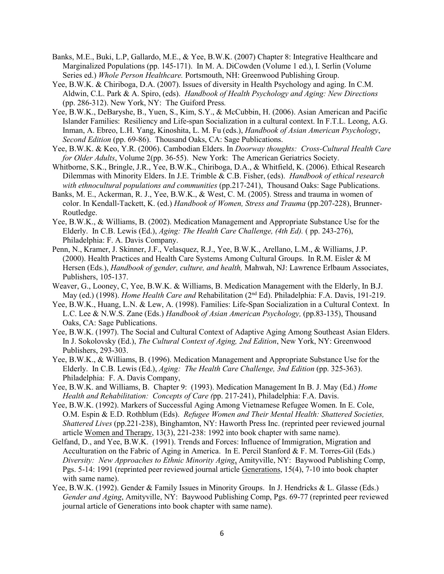- Banks, M.E., Buki, L.P, Gallardo, M.E., & Yee, B.W.K. (2007) Chapter 8: Integrative Healthcare and Marginalized Populations (pp. 145-171). In M. A. DiCowden (Volume 1 ed.), I. Serlin (Volume Series ed.) *Whole Person Healthcare.* Portsmouth, NH: Greenwood Publishing Group.
- Yee, B.W.K. & Chiriboga, D.A. (2007). Issues of diversity in Health Psychology and aging. In C.M. Aldwin, C.L. Park & A. Spiro, (eds). *Handbook of Health Psychology and Aging: New Directions* (pp. 286-312). New York, NY: The Guiford Press*.*
- Yee, B.W.K., DeBaryshe, B., Yuen, S., Kim, S.Y., & McCubbin, H. (2006). Asian American and Pacific Islander Families: Resiliency and Life-span Socialization in a cultural context. In F.T.L. Leong, A.G. Inman, A. Ebreo, L.H. Yang, Kinoshita, L. M. Fu (eds.), *Handbook of Asian American Psychology*, *Second Edition* (pp. 69-86). Thousand Oaks, CA: Sage Publications.
- Yee, B.W.K. & Keo, Y.R. (2006). Cambodian Elders. In *Doorway thoughts: Cross-Cultural Health Care for Older Adults*, Volume 2(pp. 36-55). New York: The American Geriatrics Society.
- Whitborne, S.K., Bringle, J.R., Yee, B.W.K., Chiriboga, D.A., & Whitfield, K. (2006). Ethical Research Dilemmas with Minority Elders. In J.E. Trimble & C.B. Fisher, (eds). *Handbook of ethical research with ethnocultural populations and communities* (pp.217-241), Thousand Oaks: Sage Publications.
- Banks, M. E., Ackerman, R. J., Yee, B.W.K., & West, C. M. (2005). Stress and trauma in women of color. In Kendall-Tackett, K. (ed.) *Handbook of Women, Stress and Trauma* (pp.207-228), Brunner-Routledge.
- Yee, B.W.K., & Williams, B. (2002). Medication Management and Appropriate Substance Use for the Elderly. In C.B. Lewis (Ed.), *Aging: The Health Care Challenge, (4th Ed).* ( pp. 243-276), Philadelphia: F. A. Davis Company.
- Penn, N., Kramer, J. Skinner, J.F., Velasquez, R.J., Yee, B.W.K., Arellano, L.M., & Williams, J.P. (2000). Health Practices and Health Care Systems Among Cultural Groups. In R.M. Eisler & M Hersen (Eds.), *Handbook of gender, culture, and health,* Mahwah, NJ: Lawrence Erlbaum Associates, Publishers, 105-137.
- Weaver, G., Looney, C, Yee, B.W.K. & Williams, B. Medication Management with the Elderly, In B.J. May (ed.) (1998). *Home Health Care and* Rehabilitation (2nd Ed). Philadelphia: F.A. Davis, 191-219.
- Yee, B.W.K., Huang, L.N. & Lew, A. (1998). Families: Life-Span Socialization in a Cultural Context. In L.C. Lee & N.W.S. Zane (Eds.) *Handbook of Asian American Psychology,* (pp.83-135), Thousand Oaks, CA: Sage Publications.
- Yee, B.W.K. (1997). The Social and Cultural Context of Adaptive Aging Among Southeast Asian Elders. In J. Sokolovsky (Ed.), *The Cultural Context of Aging, 2nd Edition*, New York, NY: Greenwood Publishers, 293-303.
- Yee, B.W.K., & Williams, B. (1996). Medication Management and Appropriate Substance Use for the Elderly. In C.B. Lewis (Ed.), *Aging: The Health Care Challenge, 3nd Edition* (pp. 325-363). Philadelphia: F. A. Davis Company,
- Yee, B.W.K. and Williams, B. Chapter 9: (1993). Medication Management In B. J. May (Ed.) *Home Health and Rehabilitation: Concepts of Care (*pp. 217-241), Philadelphia: F.A. Davis.
- Yee, B.W.K. (1992). Markers of Successful Aging Among Vietnamese Refugee Women. In E. Cole, O.M. Espin & E.D. Rothblum (Eds). *Refugee Women and Their Mental Health: Shattered Societies, Shattered Lives* (pp.221-238), Binghamton, NY: Haworth Press Inc. (reprinted peer reviewed journal article Women and Therapy, 13(3), 221-238: 1992 into book chapter with same name).
- Gelfand, D., and Yee, B.W.K. (1991). Trends and Forces: Influence of Immigration, Migration and Acculturation on the Fabric of Aging in America. In E. Percil Stanford & F. M. Torres-Gil (Eds.) *Diversity: New Approaches to Ethnic Minority Aging*, Amityville, NY: Baywood Publishing Comp, Pgs. 5-14: 1991 (reprinted peer reviewed journal article Generations, 15(4), 7-10 into book chapter with same name).
- Yee, B.W.K. (1992). Gender & Family Issues in Minority Groups. In J. Hendricks & L. Glasse (Eds.) *Gender and Aging*, Amityville, NY: Baywood Publishing Comp, Pgs. 69-77 (reprinted peer reviewed journal article of Generations into book chapter with same name).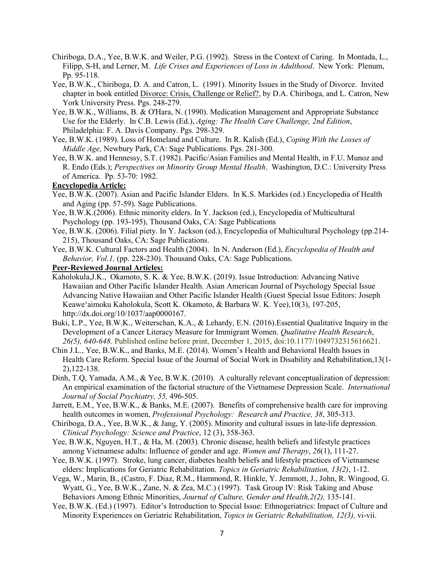- Chiriboga, D.A., Yee, B.W.K. and Weiler, P.G. (1992). Stress in the Context of Caring. In Montada, L., Filipp, S-H, and Lerner, M. *Life Crises and Experiences of Loss in Adulthood*. New York: Plenum, Pp. 95-118.
- Yee, B.W.K., Chiriboga, D. A. and Catron, L. (1991). Minority Issues in the Study of Divorce. Invited chapter in book entitled Divorce: Crisis, Challenge or Relief?, by D.A. Chiriboga, and L. Catron, New York University Press. Pgs. 248-279.
- Yee, B.W.K., Williams, B. & O'Hara, N. (1990). Medication Management and Appropriate Substance Use for the Elderly. In C.B. Lewis (Ed.), *Aging: The Health Care Challenge, 2nd Edition*, Philadelphia: F. A. Davis Company. Pgs. 298-329.
- Yee, B.W.K. (1989). Loss of Homeland and Culture. In R. Kalish (Ed.), *Coping With the Losses of Middle Age,* Newbury Park, CA: Sage Publications. Pgs. 281-300.
- Yee, B.W.K. and Hennessy, S.T. (1982). Pacific/Asian Families and Mental Health, in F.U. Munoz and R. Endo (Eds.); *Perspectives on Minority Group Mental Health*. Washington, D.C.: University Press of America. Pp. 53-70: 1982.

### **Encyclopedia Article:**

- Yee, B.W.K. (2007). Asian and Pacific Islander Elders. In K.S. Markides (ed.) Encyclopedia of Health and Aging (pp. 57-59). Sage Publications.
- Yee, B.W.K.(2006). Ethnic minority elders. In Y. Jackson (ed.), Encyclopedia of Multicultural Psychology (pp. 193-195), Thousand Oaks, CA: Sage Publications
- Yee, B.W.K. (2006). Filial piety. In Y. Jackson (ed.), Encyclopedia of Multicultural Psychology (pp.214- 215), Thousand Oaks, CA: Sage Publications.
- Yee, B.W.K. Cultural Factors and Health (2004). In N. Anderson (Ed.), *Encyclopedia of Health and Behavior, Vol.1,* (pp. 228-230). Thousand Oaks, CA: Sage Publications.

#### **Peer-Reviewed Journal Articles:**

- Kaholokula,J.K., Okamoto, S. K. & Yee, B.W.K. (2019). Issue Introduction: Advancing Native Hawaiian and Other Pacific Islander Health. Asian American Journal of Psychology Special Issue Advancing Native Hawaiian and Other Pacific Islander Health (Guest Special Issue Editors: Joseph Keawe'aimoku Kaholokula, Scott K. Okamoto, & Barbara W. K. Yee),10(3), 197-205, http://dx.doi.org/10/1037/aap0000167.
- Buki, L.P., Yee, B.W.K., Weiterschan, K.A., & Lehardy, E.N. (2016).Essential Qualitative Inquiry in the Development of a Cancer Literacy Measure for Immigrant Women. *Qualitative Health Research*, *26(5), 640-648.* Published online before print, December 1, 2015, doi:10.1177/1049732315616621.
- Chin J.L., Yee, B.W.K., and Banks, M.E. (2014). Women's Health and Behavioral Health Issues in Health Care Reform. Special Issue of the Journal of Social Work in Disability and Rehabilitation,13(1- 2),122-138.
- Dinh, T.Q, Yamada, A.M., & Yee, B.W.K. (2010). A culturally relevant conceptualization of depression: An empirical examination of the factorial structure of the Vietnamese Depression Scale. *International Journal of Social Psychiatry, 55,* 496-505.
- Jarrett, E.M., Yee, B.W.K., & Banks, M.E. (2007). Benefits of comprehensive health care for improving health outcomes in women, *Professional Psychology: Research and Practice, 38*, 305-313.
- Chiriboga, D.A., Yee, B.W.K., & Jang, Y. (2005). Minority and cultural issues in late-life depression. *Clinical Psychology: Science and Practice*, 12 (3), 358-363.
- Yee, B.W.K, Nguyen, H.T., & Ha, M. (2003). Chronic disease, health beliefs and lifestyle practices among Vietnamese adults: Influence of gender and age. *Women and Therapy*, *26*(1), 111-27.
- Yee, B.W.K. (1997). Stroke, lung cancer, diabetes health beliefs and lifestyle practices of Vietnamese elders: Implications for Geriatric Rehabilitation. *Topics in Geriatric Rehabilitation, 13(2)*, 1-12.
- Vega, W., Marin, B., (Castro, F. Diaz, R.M., Hammond, R. Hinkle, Y. Jemmott, J., John, R. Wingood, G. Wyatt, G., Yee, B.W.K., Zane, N. & Zea, M.C.) (1997). Task Group IV: Risk Taking and Abuse Behaviors Among Ethnic Minorities, *Journal of Culture, Gender and Health,2(2),* 135-141.
- Yee, B.W.K. (Ed.) (1997). Editor's Introduction to Special Issue: Ethnogeriatrics: Impact of Culture and Minority Experiences on Geriatric Rehabilitation, *Topics in Geriatric Rehabilitation, 12(3),* vi-vii.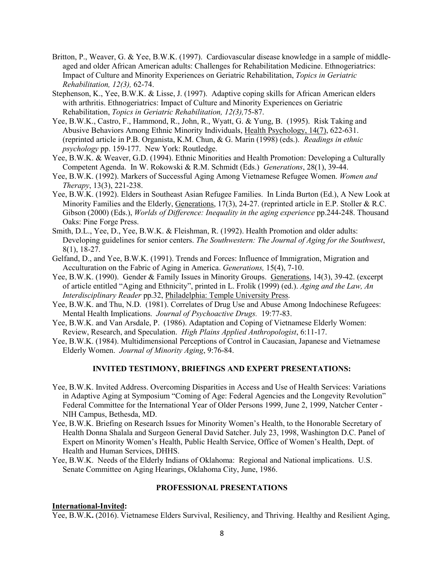- Britton, P., Weaver, G. & Yee, B.W.K. (1997). Cardiovascular disease knowledge in a sample of middleaged and older African American adults: Challenges for Rehabilitation Medicine. Ethnogeriatrics: Impact of Culture and Minority Experiences on Geriatric Rehabilitation, *Topics in Geriatric Rehabilitation, 12(3),* 62-74.
- Stephenson, K., Yee, B.W.K. & Lisse, J. (1997). Adaptive coping skills for African American elders with arthritis. Ethnogeriatrics: Impact of Culture and Minority Experiences on Geriatric Rehabilitation, *Topics in Geriatric Rehabilitation, 12(3),*75-87.
- Yee, B.W.K., Castro, F., Hammond, R., John, R., Wyatt, G. & Yung, B. (1995). Risk Taking and Abusive Behaviors Among Ethnic Minority Individuals, Health Psychology, 14(7), 622-631. (reprinted article in P.B. Organista, K.M. Chun, & G. Marin (1998) (eds.). *Readings in ethnic psychology* pp. 159-177. New York: Routledge.
- Yee, B.W.K. & Weaver, G.D. (1994). Ethnic Minorities and Health Promotion: Developing a Culturally Competent Agenda. In W. Rokowski & R.M. Schmidt (Eds.) *Generations*, 28(1), 39-44.
- Yee, B.W.K. (1992). Markers of Successful Aging Among Vietnamese Refugee Women. *Women and Therapy*, 13(3), 221-238.
- Yee, B.W.K. (1992). Elders in Southeast Asian Refugee Families. In Linda Burton (Ed.), A New Look at Minority Families and the Elderly, Generations, 17(3), 24-27. (reprinted article in E.P. Stoller & R.C. Gibson (2000) (Eds.), *Worlds of Difference: Inequality in the aging experience* pp.244-248. Thousand Oaks: Pine Forge Press.
- Smith, D.L., Yee, D., Yee, B.W.K. & Fleishman, R. (1992). Health Promotion and older adults: Developing guidelines for senior centers. *The Southwestern: The Journal of Aging for the Southwest*, 8(1), 18-27.
- Gelfand, D., and Yee, B.W.K. (1991). Trends and Forces: Influence of Immigration, Migration and Acculturation on the Fabric of Aging in America. *Generations,* 15(4), 7-10.
- Yee, B.W.K. (1990). Gender & Family Issues in Minority Groups. Generations, 14(3), 39-42. (excerpt of article entitled "Aging and Ethnicity", printed in L. Frolik (1999) (ed.). *Aging and the Law, An Interdisciplinary Reader* pp.32, Philadelphia: Temple University Press.
- Yee, B.W.K. and Thu, N.D. (1981). Correlates of Drug Use and Abuse Among Indochinese Refugees: Mental Health Implications. *Journal of Psychoactive Drugs.* 19:77-83.
- Yee, B.W.K. and Van Arsdale, P. (1986). Adaptation and Coping of Vietnamese Elderly Women: Review, Research, and Speculation. *High Plains Applied Anthropologist*, 6:11-17.
- Yee, B.W.K. (1984). Multidimensional Perceptions of Control in Caucasian, Japanese and Vietnamese Elderly Women. *Journal of Minority Aging*, 9:76-84.

### **INVITED TESTIMONY, BRIEFINGS AND EXPERT PRESENTATIONS:**

- Yee, B.W.K. Invited Address. Overcoming Disparities in Access and Use of Health Services: Variations in Adaptive Aging at Symposium "Coming of Age: Federal Agencies and the Longevity Revolution" Federal Committee for the International Year of Older Persons 1999, June 2, 1999, Natcher Center - NIH Campus, Bethesda, MD.
- Yee, B.W.K. Briefing on Research Issues for Minority Women's Health, to the Honorable Secretary of Health Donna Shalala and Surgeon General David Satcher. July 23, 1998, Washington D.C. Panel of Expert on Minority Women's Health, Public Health Service, Office of Women's Health, Dept. of Health and Human Services, DHHS.
- Yee, B.W.K. Needs of the Elderly Indians of Oklahoma: Regional and National implications. U.S. Senate Committee on Aging Hearings, Oklahoma City, June, 1986.

#### **PROFESSIONAL PRESENTATIONS**

#### **International-Invited:**

Yee, B.W.K**.** (2016). Vietnamese Elders Survival, Resiliency, and Thriving. Healthy and Resilient Aging,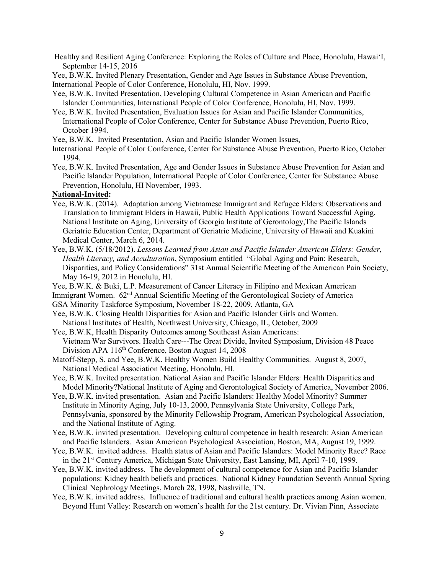Healthy and Resilient Aging Conference: Exploring the Roles of Culture and Place, Honolulu, Hawai'I, September 14-15, 2016

Yee, B.W.K. Invited Plenary Presentation, Gender and Age Issues in Substance Abuse Prevention, International People of Color Conference, Honolulu, HI, Nov. 1999.

- Yee, B.W.K. Invited Presentation, Developing Cultural Competence in Asian American and Pacific Islander Communities, International People of Color Conference, Honolulu, HI, Nov. 1999.
- Yee, B.W.K. Invited Presentation, Evaluation Issues for Asian and Pacific Islander Communities, International People of Color Conference, Center for Substance Abuse Prevention, Puerto Rico, October 1994.
- Yee, B.W.K. Invited Presentation, Asian and Pacific Islander Women Issues,
- International People of Color Conference, Center for Substance Abuse Prevention, Puerto Rico, October 1994.
- Yee, B.W.K. Invited Presentation, Age and Gender Issues in Substance Abuse Prevention for Asian and Pacific Islander Population, International People of Color Conference, Center for Substance Abuse Prevention, Honolulu, HI November, 1993.

# **National-Invited:**

- Yee, B.W.K. (2014). Adaptation among Vietnamese Immigrant and Refugee Elders: Observations and Translation to Immigrant Elders in Hawaii, Public Health Applications Toward Successful Aging, National Institute on Aging, University of Georgia Institute of Gerontology,The Pacific Islands Geriatric Education Center, Department of Geriatric Medicine, University of Hawaii and Kuakini Medical Center, March 6, 2014.
- Yee, B.W.K. (5/18/2012). *Lessons Learned from Asian and Pacific Islander American Elders: Gender, Health Literacy, and Acculturation*, Symposium entitled "Global Aging and Pain: Research, Disparities, and Policy Considerations" 31st Annual Scientific Meeting of the American Pain Society, May 16-19, 2012 in Honolulu, HI.
- Yee, B.W.K. & Buki, L.P. Measurement of Cancer Literacy in Filipino and Mexican American
- Immigrant Women. 62nd Annual Scientific Meeting of the Gerontological Society of America
- GSA Minority Taskforce Symposium, November 18-22, 2009, Atlanta, GA
- Yee, B.W.K. Closing Health Disparities for Asian and Pacific Islander Girls and Women. National Institutes of Health, Northwest University, Chicago, IL, October, 2009
- Yee, B.W.K, Health Disparity Outcomes among Southeast Asian Americans: Vietnam War Survivors. Health Care---The Great Divide, Invited Symposium, Division 48 Peace Division APA 116<sup>th</sup> Conference, Boston August 14, 2008
- Matoff-Stepp, S. and Yee, B.W.K. Healthy Women Build Healthy Communities. August 8, 2007, National Medical Association Meeting, Honolulu, HI.
- Yee, B.W.K. Invited presentation. National Asian and Pacific Islander Elders: Health Disparities and Model Minority?National Institute of Aging and Gerontological Society of America, November 2006.
- Yee, B.W.K. invited presentation. Asian and Pacific Islanders: Healthy Model Minority? Summer Institute in Minority Aging, July 10-13, 2000, Pennsylvania State University, College Park, Pennsylvania, sponsored by the Minority Fellowship Program, American Psychological Association, and the National Institute of Aging.
- Yee, B.W.K. invited presentation. Developing cultural competence in health research: Asian American and Pacific Islanders. Asian American Psychological Association, Boston, MA, August 19, 1999.
- Yee, B.W.K. invited address. Health status of Asian and Pacific Islanders: Model Minority Race? Race in the 21<sup>st</sup> Century America, Michigan State University, East Lansing, MI, April 7-10, 1999.
- Yee, B.W.K. invited address. The development of cultural competence for Asian and Pacific Islander populations: Kidney health beliefs and practices. National Kidney Foundation Seventh Annual Spring Clinical Nephrology Meetings, March 28, 1998, Nashville, TN.
- Yee, B.W.K. invited address. Influence of traditional and cultural health practices among Asian women. Beyond Hunt Valley: Research on women's health for the 21st century. Dr. Vivian Pinn, Associate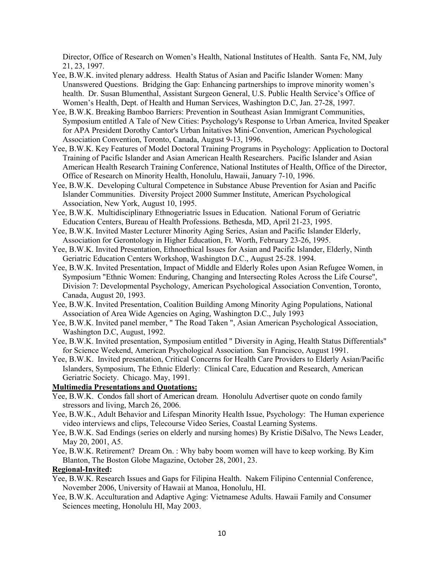Director, Office of Research on Women's Health, National Institutes of Health. Santa Fe, NM, July 21, 23, 1997.

- Yee, B.W.K. invited plenary address. Health Status of Asian and Pacific Islander Women: Many Unanswered Questions. Bridging the Gap: Enhancing partnerships to improve minority women's health. Dr. Susan Blumenthal, Assistant Surgeon General, U.S. Public Health Service's Office of Women's Health, Dept. of Health and Human Services, Washington D.C, Jan. 27-28, 1997.
- Yee, B.W.K. Breaking Bamboo Barriers: Prevention in Southeast Asian Immigrant Communities, Symposium entitled A Tale of New Cities: Psychology's Response to Urban America, Invited Speaker for APA President Dorothy Cantor's Urban Initatives Mini-Convention, American Psychological Association Convention, Toronto, Canada, August 9-13, 1996.
- Yee, B.W.K. Key Features of Model Doctoral Training Programs in Psychology: Application to Doctoral Training of Pacific Islander and Asian American Health Researchers. Pacific Islander and Asian American Health Research Training Conference, National Institutes of Health, Office of the Director, Office of Research on Minority Health, Honolulu, Hawaii, January 7-10, 1996.
- Yee, B.W.K. Developing Cultural Competence in Substance Abuse Prevention for Asian and Pacific Islander Communities. Diversity Project 2000 Summer Institute, American Psychological Association, New York, August 10, 1995.
- Yee, B.W.K. Multidisciplinary Ethnogeriatric Issues in Education. National Forum of Geriatric Education Centers, Bureau of Health Professions. Bethesda, MD, April 21-23, 1995.
- Yee, B.W.K. Invited Master Lecturer Minority Aging Series, Asian and Pacific Islander Elderly, Association for Gerontology in Higher Education, Ft. Worth, February 23-26, 1995.
- Yee, B.W.K. Invited Presentation, Ethnoethical Issues for Asian and Pacific Islander, Elderly, Ninth Geriatric Education Centers Workshop, Washington D.C., August 25-28. 1994.
- Yee, B.W.K. Invited Presentation, Impact of Middle and Elderly Roles upon Asian Refugee Women, in Symposium "Ethnic Women: Enduring, Changing and Intersecting Roles Across the Life Course", Division 7: Developmental Psychology, American Psychological Association Convention, Toronto, Canada, August 20, 1993.
- Yee, B.W.K. Invited Presentation, Coalition Building Among Minority Aging Populations, National Association of Area Wide Agencies on Aging, Washington D.C., July 1993
- Yee, B.W.K. Invited panel member, " The Road Taken ", Asian American Psychological Association, Washington D.C, August, 1992.
- Yee, B.W.K. Invited presentation, Symposium entitled " Diversity in Aging, Health Status Differentials" for Science Weekend, American Psychological Association. San Francisco, August 1991.
- Yee, B.W.K. Invited presentation, Critical Concerns for Health Care Providers to Elderly Asian/Pacific Islanders, Symposium, The Ethnic Elderly: Clinical Care, Education and Research, American Geriatric Society. Chicago. May, 1991.

### **Multimedia Presentations and Quotations:**

- Yee, B.W.K. Condos fall short of American dream. Honolulu Advertiser quote on condo family stressors and living, March 26, 2006.
- Yee, B.W.K., Adult Behavior and Lifespan Minority Health Issue, Psychology: The Human experience video interviews and clips, Telecourse Video Series, Coastal Learning Systems.
- Yee, B.W.K. Sad Endings (series on elderly and nursing homes) By Kristie DiSalvo, The News Leader, May 20, 2001, A5.
- Yee, B.W.K. Retirement? Dream On. : Why baby boom women will have to keep working. By Kim Blanton, The Boston Globe Magazine, October 28, 2001, 23.

#### **Regional-Invited:**

- Yee, B.W.K. Research Issues and Gaps for Filipina Health. Nakem Filipino Centennial Conference, November 2006, University of Hawaii at Manoa, Honolulu, HI.
- Yee, B.W.K. Acculturation and Adaptive Aging: Vietnamese Adults. Hawaii Family and Consumer Sciences meeting, Honolulu HI, May 2003.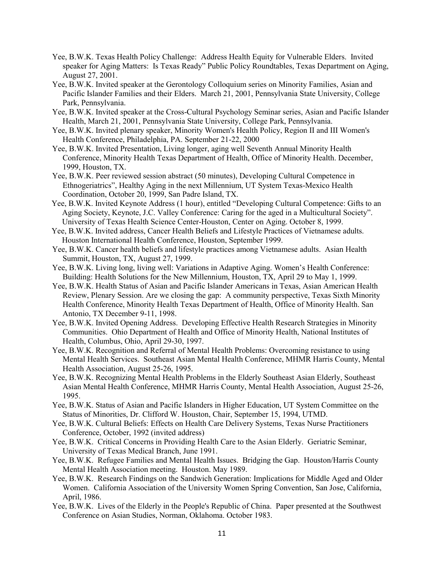- Yee, B.W.K. Texas Health Policy Challenge: Address Health Equity for Vulnerable Elders. Invited speaker for Aging Matters: Is Texas Ready" Public Policy Roundtables, Texas Department on Aging, August 27, 2001.
- Yee, B.W.K. Invited speaker at the Gerontology Colloquium series on Minority Families, Asian and Pacific Islander Families and their Elders. March 21, 2001, Pennsylvania State University, College Park, Pennsylvania.
- Yee, B.W.K. Invited speaker at the Cross-Cultural Psychology Seminar series, Asian and Pacific Islander Health, March 21, 2001, Pennsylvania State University, College Park, Pennsylvania.
- Yee, B.W.K. Invited plenary speaker, Minority Women's Health Policy, Region II and III Women's Health Conference, Philadelphia, PA. September 21-22, 2000
- Yee, B.W.K. Invited Presentation, Living longer, aging well Seventh Annual Minority Health Conference, Minority Health Texas Department of Health, Office of Minority Health. December, 1999, Houston, TX.
- Yee, B.W.K. Peer reviewed session abstract (50 minutes), Developing Cultural Competence in Ethnogeriatrics", Healthy Aging in the next Millennium, UT System Texas-Mexico Health Coordination, October 20, 1999, San Padre Island, TX.
- Yee, B.W.K. Invited Keynote Address (1 hour), entitled "Developing Cultural Competence: Gifts to an Aging Society, Keynote, J.C. Valley Conference: Caring for the aged in a Multicultural Society". University of Texas Health Science Center-Houston, Center on Aging. October 8, 1999.
- Yee, B.W.K. Invited address, Cancer Health Beliefs and Lifestyle Practices of Vietnamese adults. Houston International Health Conference, Houston, September 1999.
- Yee, B.W.K. Cancer health beliefs and lifestyle practices among Vietnamese adults. Asian Health Summit, Houston, TX, August 27, 1999.
- Yee, B.W.K. Living long, living well: Variations in Adaptive Aging. Women's Health Conference: Building: Health Solutions for the New Millennium, Houston, TX, April 29 to May 1, 1999.
- Yee, B.W.K. Health Status of Asian and Pacific Islander Americans in Texas, Asian American Health Review, Plenary Session. Are we closing the gap: A community perspective, Texas Sixth Minority Health Conference, Minority Health Texas Department of Health, Office of Minority Health. San Antonio, TX December 9-11, 1998.
- Yee, B.W.K. Invited Opening Address. Developing Effective Health Research Strategies in Minority Communities. Ohio Department of Health and Office of Minority Health, National Institutes of Health, Columbus, Ohio, April 29-30, 1997.
- Yee, B.W.K. Recognition and Referral of Mental Health Problems: Overcoming resistance to using Mental Health Services. Southeast Asian Mental Health Conference, MHMR Harris County, Mental Health Association, August 25-26, 1995.
- Yee, B.W.K. Recognizing Mental Health Problems in the Elderly Southeast Asian Elderly, Southeast Asian Mental Health Conference, MHMR Harris County, Mental Health Association, August 25-26, 1995.
- Yee, B.W.K. Status of Asian and Pacific Islanders in Higher Education, UT System Committee on the Status of Minorities, Dr. Clifford W. Houston, Chair, September 15, 1994, UTMD.
- Yee, B.W.K. Cultural Beliefs: Effects on Health Care Delivery Systems, Texas Nurse Practitioners Conference, October, 1992 (invited address)
- Yee, B.W.K. Critical Concerns in Providing Health Care to the Asian Elderly. Geriatric Seminar, University of Texas Medical Branch, June 1991.
- Yee, B.W.K. Refugee Families and Mental Health Issues. Bridging the Gap. Houston/Harris County Mental Health Association meeting. Houston. May 1989.
- Yee, B.W.K. Research Findings on the Sandwich Generation: Implications for Middle Aged and Older Women. California Association of the University Women Spring Convention, San Jose, California, April, 1986.
- Yee, B.W.K. Lives of the Elderly in the People's Republic of China. Paper presented at the Southwest Conference on Asian Studies, Norman, Oklahoma. October 1983.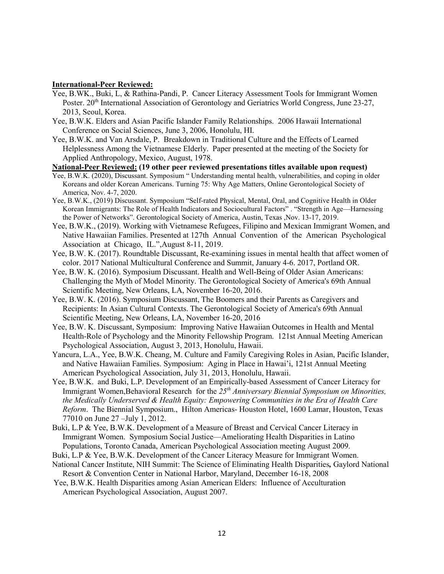#### **International-Peer Reviewed:**

- Yee, B.WK., Buki, L, & Rathina-Pandi, P. Cancer Literacy Assessment Tools for Immigrant Women Poster. 20<sup>th</sup> International Association of Gerontology and Geriatrics World Congress, June 23-27, 2013, Seoul, Korea.
- Yee, B.W.K. Elders and Asian Pacific Islander Family Relationships. 2006 Hawaii International Conference on Social Sciences, June 3, 2006, Honolulu, HI.
- Yee, B.W.K. and Van Arsdale, P. Breakdown in Traditional Culture and the Effects of Learned Helplessness Among the Vietnamese Elderly. Paper presented at the meeting of the Society for Applied Anthropology, Mexico, August, 1978.
- **National-Peer Reviewed: (19 other peer reviewed presentations titles available upon request)**
- Yee, B.W.K. (2020), Discussant. Symposium " Understanding mental health, vulnerabilities, and coping in older Koreans and older Korean Americans. Turning 75: Why Age Matters, Online Gerontological Society of America, Nov. 4-7, 2020.
- Yee, B.W.K., (2019) Discussant. Symposium "Self-rated Physical, Mental, Oral, and Cognitive Health in Older Korean Immigrants: The Role of Health Indicators and Sociocultural Factors" . "Strength in Age—Harnessing the Power of Networks". Gerontological Society of America, Austin, Texas ,Nov. 13-17, 2019.
- Yee, B.W.K., (2019). Working with Vietnamese Refugees, Filipino and Mexican Immigrant Women, and Native Hawaiian Families. Presented at 127th Annual Convention of the American Psychological Association at Chicago, IL.",August 8-11, 2019.
- Yee, B.W. K. (2017). Roundtable Discussant, Re-examining issues in mental health that affect women of color. 2017 National Multicultural Conference and Summit, January 4-6. 2017, Portland OR.
- Yee, B.W. K. (2016). Symposium Discussant. Health and Well-Being of Older Asian Americans: Challenging the Myth of Model Minority. The Gerontological Society of America's 69th Annual Scientific Meeting, New Orleans, LA, November 16-20, 2016.
- Yee, B.W. K. (2016). Symposium Discussant, The Boomers and their Parents as Caregivers and Recipients: In Asian Cultural Contexts. The Gerontological Society of America's 69th Annual Scientific Meeting, New Orleans, LA, November 16-20, 2016
- Yee, B.W. K. Discussant, Symposium: Improving Native Hawaiian Outcomes in Health and Mental Health-Role of Psychology and the Minority Fellowship Program. 121st Annual Meeting American Psychological Association, August 3, 2013, Honolulu, Hawaii.
- Yancura, L.A., Yee, B.W.K. Cheang, M. Culture and Family Caregiving Roles in Asian, Pacific Islander, and Native Hawaiian Families. Symposium: Aging in Place in Hawai'i, 121st Annual Meeting American Psychological Association, July 31, 2013, Honolulu, Hawaii.
- Yee, B.W.K. and Buki, L.P. Development of an Empirically-based Assessment of Cancer Literacy for Immigrant Women,Behavioral Research for the *25th Anniversary Biennial Symposium on Minorities, the Medically Underserved & Health Equity: Empowering Communities in the Era of Health Care Reform*. The Biennial Symposium., Hilton Americas- Houston Hotel, 1600 Lamar, Houston, Texas 77010 on June 27 –July 1, 2012.
- Buki, L.P & Yee, B.W.K. Development of a Measure of Breast and Cervical Cancer Literacy in Immigrant Women. Symposium Social Justice—Ameliorating Health Disparities in Latino Populations, Toronto Canada, American Psychological Association meeting August 2009.
- Buki, L.P & Yee, B.W.K. Development of the Cancer Literacy Measure for Immigrant Women.
- National Cancer Institute, NIH Summit: The Science of Eliminating Health Disparities*,* Gaylord National Resort & Convention Center in National Harbor, Maryland, December 16-18, 2008
- Yee, B.W.K. Health Disparities among Asian American Elders: Influence of Acculturation American Psychological Association, August 2007.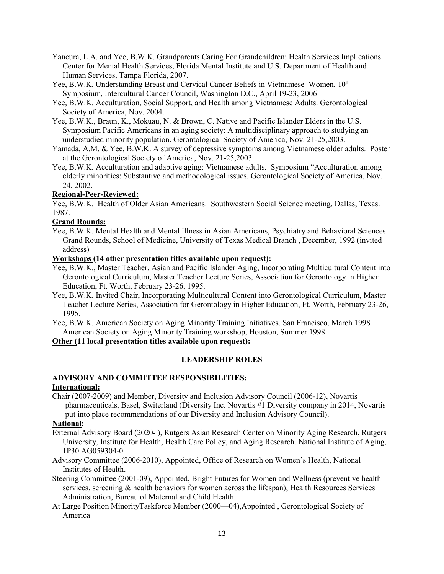- Yancura, L.A. and Yee, B.W.K. Grandparents Caring For Grandchildren: Health Services Implications. Center for Mental Health Services, Florida Mental Institute and U.S. Department of Health and Human Services, Tampa Florida, 2007.
- Yee, B.W.K. Understanding Breast and Cervical Cancer Beliefs in Vietnamese Women, 10<sup>th</sup> Symposium, Intercultural Cancer Council, Washington D.C., April 19-23, 2006
- Yee, B.W.K. Acculturation, Social Support, and Health among Vietnamese Adults. Gerontological Society of America, Nov. 2004.
- Yee, B.W.K., Braun, K., Mokuau, N. & Brown, C. Native and Pacific Islander Elders in the U.S. Symposium Pacific Americans in an aging society: A multidisciplinary approach to studying an understudied minority population. Gerontological Society of America, Nov. 21-25,2003.
- Yamada, A.M. & Yee, B.W.K. A survey of depressive symptoms among Vietnamese older adults. Poster at the Gerontological Society of America, Nov. 21-25,2003.
- Yee, B.W.K. Acculturation and adaptive aging: Vietnamese adults. Symposium "Acculturation among elderly minorities: Substantive and methodological issues. Gerontological Society of America, Nov. 24, 2002.

### **Regional-Peer-Reviewed:**

Yee, B.W.K. Health of Older Asian Americans. Southwestern Social Science meeting, Dallas, Texas. 1987.

### **Grand Rounds:**

Yee, B.W.K. Mental Health and Mental Illness in Asian Americans, Psychiatry and Behavioral Sciences Grand Rounds, School of Medicine, University of Texas Medical Branch , December, 1992 (invited address)

# **Workshops (14 other presentation titles available upon request):**

- Yee, B.W.K., Master Teacher, Asian and Pacific Islander Aging, Incorporating Multicultural Content into Gerontological Curriculum, Master Teacher Lecture Series, Association for Gerontology in Higher Education, Ft. Worth, February 23-26, 1995.
- Yee, B.W.K. Invited Chair, Incorporating Multicultural Content into Gerontological Curriculum, Master Teacher Lecture Series, Association for Gerontology in Higher Education, Ft. Worth, February 23-26, 1995.

Yee, B.W.K. American Society on Aging Minority Training Initiatives, San Francisco, March 1998 American Society on Aging Minority Training workshop, Houston, Summer 1998

**Other (11 local presentation titles available upon request):**

# **LEADERSHIP ROLES**

# **ADVISORY AND COMMITTEE RESPONSIBILITIES: International:**

Chair (2007-2009) and Member, Diversity and Inclusion Advisory Council (2006-12), Novartis pharmaceuticals, Basel, Switerland (Diversity Inc. Novartis #1 Diversity company in 2014, Novartis put into place recommendations of our Diversity and Inclusion Advisory Council).

# **National:**

- External Advisory Board (2020- ), Rutgers Asian Research Center on Minority Aging Research, Rutgers University, Institute for Health, Health Care Policy, and Aging Research. National Institute of Aging, 1P30 AG059304-0.
- Advisory Committee (2006-2010), Appointed, Office of Research on Women's Health, National Institutes of Health.
- Steering Committee (2001-09), Appointed, Bright Futures for Women and Wellness (preventive health services, screening & health behaviors for women across the lifespan), Health Resources Services Administration, Bureau of Maternal and Child Health.
- At Large Position MinorityTaskforce Member (2000—04),Appointed , Gerontological Society of America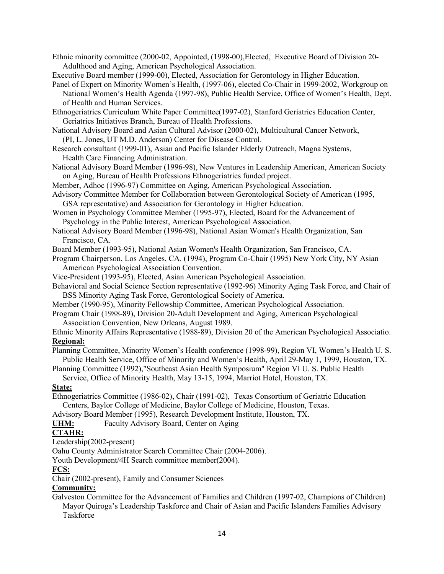Ethnic minority committee (2000-02, Appointed, (1998-00),Elected, Executive Board of Division 20- Adulthood and Aging, American Psychological Association.

Executive Board member (1999-00), Elected, Association for Gerontology in Higher Education.

- Panel of Expert on Minority Women's Health, (1997-06), elected Co-Chair in 1999-2002, Workgroup on National Women's Health Agenda (1997-98), Public Health Service, Office of Women's Health, Dept. of Health and Human Services.
- Ethnogeriatrics Curriculum White Paper Committee(1997-02), Stanford Geriatrics Education Center, Geriatrics Initiatives Branch, Bureau of Health Professions.
- National Advisory Board and Asian Cultural Advisor (2000-02), Multicultural Cancer Network, (PI, L. Jones, UT M.D. Anderson) Center for Disease Control.
- Research consultant (1999-01), Asian and Pacific Islander Elderly Outreach, Magna Systems, Health Care Financing Administration.
- National Advisory Board Member (1996-98), New Ventures in Leadership American, American Society on Aging, Bureau of Health Professions Ethnogeriatrics funded project.
- Member, Adhoc (1996-97) Committee on Aging, American Psychological Association.
- Advisory Committee Member for Collaboration between Gerontological Society of American (1995, GSA representative) and Association for Gerontology in Higher Education.

Women in Psychology Committee Member (1995-97), Elected, Board for the Advancement of Psychology in the Public Interest, American Psychological Association.

National Advisory Board Member (1996-98), National Asian Women's Health Organization, San Francisco, CA.

Board Member (1993-95), National Asian Women's Health Organization, San Francisco, CA.

Program Chairperson, Los Angeles, CA. (1994), Program Co-Chair (1995) New York City, NY Asian American Psychological Association Convention.

Vice-President (1993-95), Elected, Asian American Psychological Association.

Behavioral and Social Science Section representative (1992-96) Minority Aging Task Force, and Chair of BSS Minority Aging Task Force, Gerontological Society of America.

- Member (1990-95), Minority Fellowship Committee, American Psychological Association.
- Program Chair (1988-89), Division 20-Adult Development and Aging, American Psychological Association Convention, New Orleans, August 1989.

Ethnic Minority Affairs Representative (1988-89), Division 20 of the American Psychological Associatio. **Regional:**

Planning Committee, Minority Women's Health conference (1998-99), Region VI, Women's Health U. S. Public Health Service, Office of Minority and Women's Health, April 29-May 1, 1999, Houston, TX.

Planning Committee (1992),"Southeast Asian Health Symposium" Region VI U. S. Public Health Service, Office of Minority Health, May 13-15, 1994, Marriot Hotel, Houston, TX.

### **State:**

Ethnogeriatrics Committee (1986-02), Chair (1991-02), Texas Consortium of Geriatric Education Centers, Baylor College of Medicine, Baylor College of Medicine, Houston, Texas.

Advisory Board Member (1995), Research Development Institute, Houston, TX.

UHM: Faculty Advisory Board, Center on Aging

# **CTAHR:**

Leadership(2002-present)

Oahu County Administrator Search Committee Chair (2004-2006).

Youth Development/4H Search committee member(2004).

### **FCS:**

Chair (2002-present), Family and Consumer Sciences

# **Community:**

Galveston Committee for the Advancement of Families and Children (1997-02, Champions of Children) Mayor Quiroga's Leadership Taskforce and Chair of Asian and Pacific Islanders Families Advisory **Taskforce**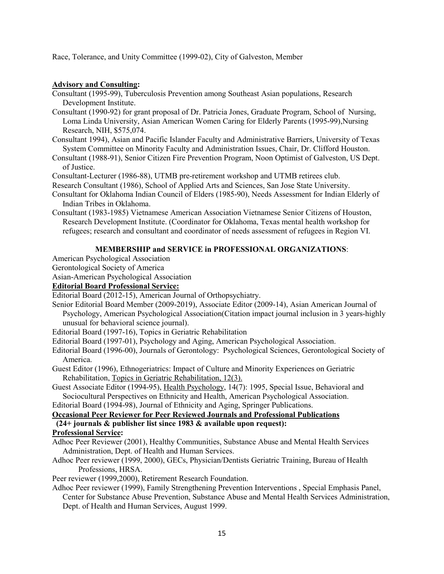Race, Tolerance, and Unity Committee (1999-02), City of Galveston, Member

### **Advisory and Consulting:**

Consultant (1995-99), Tuberculosis Prevention among Southeast Asian populations, Research Development Institute.

Consultant (1990-92) for grant proposal of Dr. Patricia Jones, Graduate Program, School of Nursing, Loma Linda University, Asian American Women Caring for Elderly Parents (1995-99),Nursing Research, NIH, \$575,074.

- Consultant 1994), Asian and Pacific Islander Faculty and Administrative Barriers, University of Texas System Committee on Minority Faculty and Administration Issues, Chair, Dr. Clifford Houston.
- Consultant (1988-91), Senior Citizen Fire Prevention Program, Noon Optimist of Galveston, US Dept. of Justice.

Consultant-Lecturer (1986-88), UTMB pre-retirement workshop and UTMB retirees club.

Research Consultant (1986), School of Applied Arts and Sciences, San Jose State University.

- Consultant for Oklahoma Indian Council of Elders (1985-90), Needs Assessment for Indian Elderly of Indian Tribes in Oklahoma.
- Consultant (1983-1985) Vietnamese American Association Vietnamese Senior Citizens of Houston, Research Development Institute. (Coordinator for Oklahoma, Texas mental health workshop for refugees; research and consultant and coordinator of needs assessment of refugees in Region VI.

### **MEMBERSHIP and SERVICE in PROFESSIONAL ORGANIZATIONS**:

American Psychological Association

Gerontological Society of America

Asian-American Psychological Association

#### **Editorial Board Professional Service:**

Editorial Board (2012-15), American Journal of Orthopsychiatry.

Senior Editorial Board Member (2009-2019), Associate Editor (2009-14), Asian American Journal of Psychology, American Psychological Association(Citation impact journal inclusion in 3 years-highly unusual for behavioral science journal).

Editorial Board (1997-16), Topics in Geriatric Rehabilitation

Editorial Board (1997-01), Psychology and Aging, American Psychological Association.

Editorial Board (1996-00), Journals of Gerontology: Psychological Sciences, Gerontological Society of America.

Guest Editor (1996), Ethnogeriatrics: Impact of Culture and Minority Experiences on Geriatric Rehabilitation, Topics in Geriatric Rehabilitation, 12(3).

Guest Associate Editor (1994-95), Health Psychology, 14(7): 1995, Special Issue, Behavioral and Sociocultural Perspectives on Ethnicity and Health, American Psychological Association.

Editorial Board (1994-98), Journal of Ethnicity and Aging, Springer Publications.

# **Occasional Peer Reviewer for Peer Reviewed Journals and Professional Publications**

 **(24+ journals & publisher list since 1983 & available upon request):**

# **Professional Service:**

Adhoc Peer Reviewer (2001), Healthy Communities, Substance Abuse and Mental Health Services Administration, Dept. of Health and Human Services.

Adhoc Peer reviewer (1999, 2000), GECs, Physician/Dentists Geriatric Training, Bureau of Health Professions, HRSA.

Peer reviewer (1999,2000), Retirement Research Foundation.

Adhoc Peer reviewer (1999), Family Strengthening Prevention Interventions , Special Emphasis Panel,

Center for Substance Abuse Prevention, Substance Abuse and Mental Health Services Administration, Dept. of Health and Human Services, August 1999.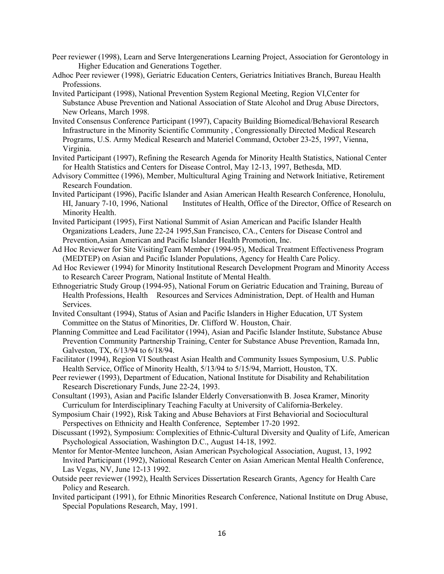- Peer reviewer (1998), Learn and Serve Intergenerations Learning Project, Association for Gerontology in Higher Education and Generations Together.
- Adhoc Peer reviewer (1998), Geriatric Education Centers, Geriatrics Initiatives Branch, Bureau Health Professions.
- Invited Participant (1998), National Prevention System Regional Meeting, Region VI,Center for Substance Abuse Prevention and National Association of State Alcohol and Drug Abuse Directors, New Orleans, March 1998.
- Invited Consensus Conference Participant (1997), Capacity Building Biomedical/Behavioral Research Infrastructure in the Minority Scientific Community , Congressionally Directed Medical Research Programs, U.S. Army Medical Research and Materiel Command, October 23-25, 1997, Vienna, Virginia.
- Invited Participant (1997), Refining the Research Agenda for Minority Health Statistics, National Center for Health Statistics and Centers for Disease Control, May 12-13, 1997, Bethesda, MD.
- Advisory Committee (1996), Member, Multicultural Aging Training and Network Initiative, Retirement Research Foundation.
- Invited Participant (1996), Pacific Islander and Asian American Health Research Conference, Honolulu, HI, January 7-10, 1996, National Institutes of Health, Office of the Director, Office of Research on Minority Health.
- Invited Participant (1995), First National Summit of Asian American and Pacific Islander Health Organizations Leaders, June 22-24 1995,San Francisco, CA., Centers for Disease Control and Prevention,Asian American and Pacific Islander Health Promotion, Inc.
- Ad Hoc Reviewer for Site VisitingTeam Member (1994-95), Medical Treatment Effectiveness Program (MEDTEP) on Asian and Pacific Islander Populations, Agency for Health Care Policy.
- Ad Hoc Reviewer (1994) for Minority Institutional Research Development Program and Minority Access to Research Career Program, National Institute of Mental Health.
- Ethnogeriatric Study Group (1994-95), National Forum on Geriatric Education and Training, Bureau of Health Professions, Health Resources and Services Administration, Dept. of Health and Human Services.
- Invited Consultant (1994), Status of Asian and Pacific Islanders in Higher Education, UT System Committee on the Status of Minorities, Dr. Clifford W. Houston, Chair.
- Planning Committee and Lead Facilitator (1994), Asian and Pacific Islander Institute, Substance Abuse Prevention Community Partnership Training, Center for Substance Abuse Prevention, Ramada Inn, Galveston, TX, 6/13/94 to 6/18/94.
- Facilitator (1994), Region VI Southeast Asian Health and Community Issues Symposium, U.S. Public Health Service, Office of Minority Health, 5/13/94 to 5/15/94, Marriott, Houston, TX.
- Peer reviewer (1993), Department of Education, National Institute for Disability and Rehabilitation Research Discretionary Funds, June 22-24, 1993.
- Consultant (1993), Asian and Pacific Islander Elderly Conversationwith B. Josea Kramer, Minority Curriculum for Interdisciplinary Teaching Faculty at University of California-Berkeley.
- Symposium Chair (1992), Risk Taking and Abuse Behaviors at First Behaviorial and Sociocultural Perspectives on Ethnicity and Health Conference, September 17-20 1992.
- Discussant (1992), Symposium: Complexities of Ethnic-Cultural Diversity and Quality of Life, American Psychological Association, Washington D.C., August 14-18, 1992.
- Mentor for Mentor-Mentee luncheon, Asian American Psychological Association, August, 13, 1992 Invited Participant (1992), National Research Center on Asian American Mental Health Conference, Las Vegas, NV, June 12-13 1992.
- Outside peer reviewer (1992), Health Services Dissertation Research Grants, Agency for Health Care Policy and Research.
- Invited participant (1991), for Ethnic Minorities Research Conference, National Institute on Drug Abuse, Special Populations Research, May, 1991.